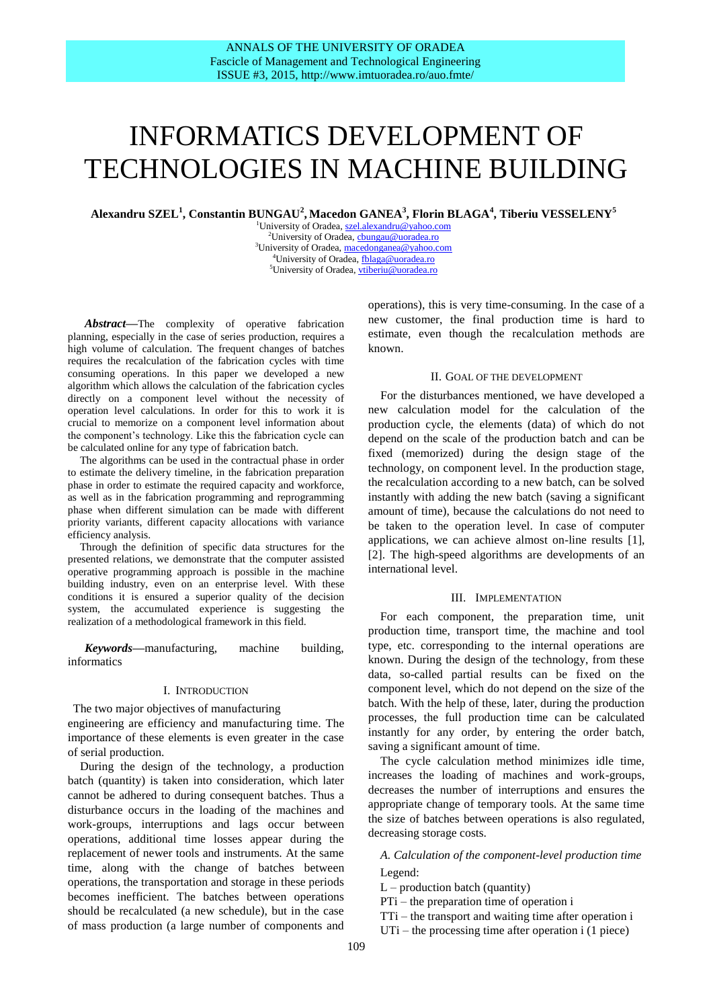# INFORMATICS DEVELOPMENT OF TECHNOLOGIES IN MACHINE BUILDING

**Alexandru SZEL 1 , Constantin BUNGAU<sup>2</sup> , Macedon GANEA<sup>3</sup> , Florin BLAGA<sup>4</sup> , Tiberiu VESSELENY<sup>5</sup>**

<sup>1</sup>University of Oradea[, szel.alexandru@yahoo.com](mailto:szel.alexandru@yahoo.com) <sup>2</sup>University of Oradea, chungau@uoradea.ro <sup>3</sup>University of Oradea[, macedonganea@yahoo.com](mailto:macedonganea@yahoo.com) <sup>4</sup>University of Oradea, [fblaga@uoradea.ro](mailto:fblaga@uoradea.ro)  <sup>5</sup>University of Oradea[, vtiberiu@uoradea.ro](mailto:vtiberiu@uoradea.ro)

*Abstract***—**The complexity of operative fabrication planning, especially in the case of series production, requires a high volume of calculation. The frequent changes of batches requires the recalculation of the fabrication cycles with time consuming operations. In this paper we developed a new algorithm which allows the calculation of the fabrication cycles directly on a component level without the necessity of operation level calculations. In order for this to work it is crucial to memorize on a component level information about the component's technology. Like this the fabrication cycle can be calculated online for any type of fabrication batch.

The algorithms can be used in the contractual phase in order to estimate the delivery timeline, in the fabrication preparation phase in order to estimate the required capacity and workforce, as well as in the fabrication programming and reprogramming phase when different simulation can be made with different priority variants, different capacity allocations with variance efficiency analysis.

Through the definition of specific data structures for the presented relations, we demonstrate that the computer assisted operative programming approach is possible in the machine building industry, even on an enterprise level. With these conditions it is ensured a superior quality of the decision system, the accumulated experience is suggesting the realization of a methodological framework in this field.

*Keywords***—**manufacturing, machine building, informatics

## I. INTRODUCTION

The two major objectives of manufacturing engineering are efficiency and manufacturing time. The importance of these elements is even greater in the case of serial production.

During the design of the technology, a production batch (quantity) is taken into consideration, which later cannot be adhered to during consequent batches. Thus a disturbance occurs in the loading of the machines and work-groups, interruptions and lags occur between operations, additional time losses appear during the replacement of newer tools and instruments. At the same time, along with the change of batches between operations, the transportation and storage in these periods becomes inefficient. The batches between operations should be recalculated (a new schedule), but in the case of mass production (a large number of components and

operations), this is very time-consuming. In the case of a new customer, the final production time is hard to estimate, even though the recalculation methods are known.

## II. GOAL OF THE DEVELOPMENT

For the disturbances mentioned, we have developed a new calculation model for the calculation of the production cycle, the elements (data) of which do not depend on the scale of the production batch and can be fixed (memorized) during the design stage of the technology, on component level. In the production stage, the recalculation according to a new batch, can be solved instantly with adding the new batch (saving a significant amount of time), because the calculations do not need to be taken to the operation level. In case of computer applications, we can achieve almost on-line results [1], [2]. The high-speed algorithms are developments of an international level.

## III. IMPLEMENTATION

For each component, the preparation time, unit production time, transport time, the machine and tool type, etc. corresponding to the internal operations are known. During the design of the technology, from these data, so-called partial results can be fixed on the component level, which do not depend on the size of the batch. With the help of these, later, during the production processes, the full production time can be calculated instantly for any order, by entering the order batch, saving a significant amount of time.

The cycle calculation method minimizes idle time, increases the loading of machines and work-groups, decreases the number of interruptions and ensures the appropriate change of temporary tools. At the same time the size of batches between operations is also regulated, decreasing storage costs.

*A. Calculation of the component-level production time* Legend:

 $L$  – production batch (quantity)

PTi – the preparation time of operation i

TTi – the transport and waiting time after operation i

UTi – the processing time after operation i (1 piece)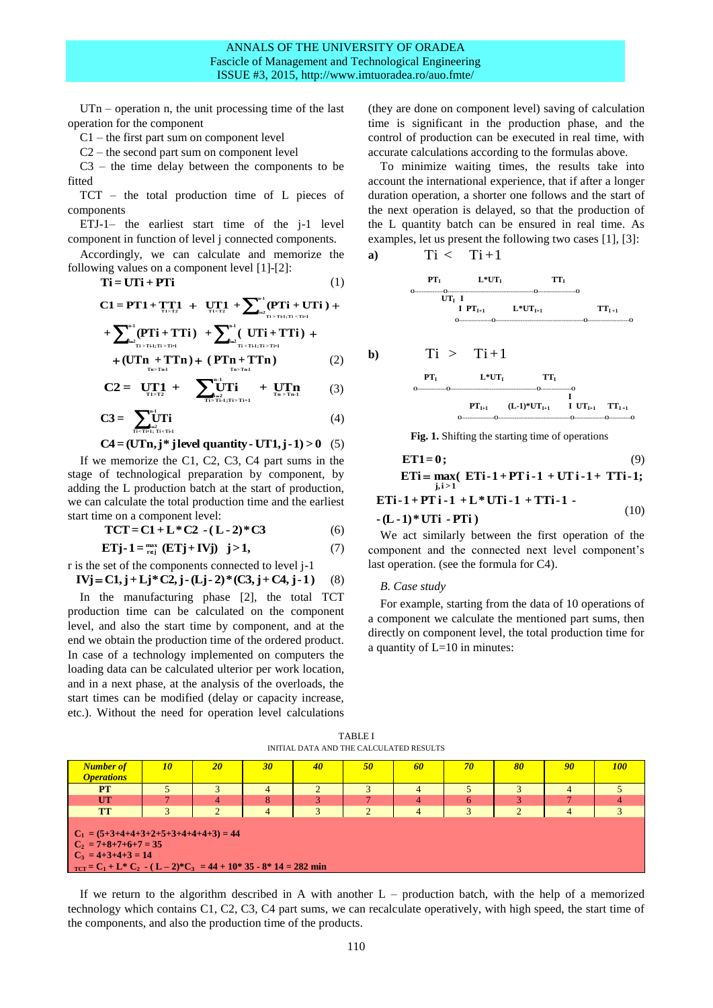$UTn$  – operation n, the unit processing time of the last operation for the component

C1 – the first part sum on component level

C2 – the second part sum on component level

C3 – the time delay between the components to be fitted

TCT – the total production time of L pieces of components

ETJ-1– the earliest start time of the j-1 level component in function of level j connected components.

Accordingly, we can calculate and memorize the following values on a component level [1]-[2]:

$$
Ti = UTi + PTi
$$
 (1)

 **T i >T i-1;T i <T i+1 n-1 T 1>T 2 T 1<T 2 <sup>i</sup> <sup>2</sup> C1= PT1+ TT1 UT1 + (PTi + UTi ) + (PTi + TTi) + ( UTi + TTi) T i < T i-1;T i > T i+1 n-1 i 2 T i > T i-1;T i > T i+1 n-1 i 2** 

$$
+(UT_{n}+TTn)+(PTn+TTn) \qquad (2)
$$

$$
C2 = \tU_{\text{t1-}T2}^{T1} + \t\sum_{\text{t2}}^{\text{m1}}_{\text{t1-}T1\text{t1}} + \tU_{\text{t2}}^{T1}\text{n} \t(3)
$$

$$
C3 = \sum_{\vec{n} \in T_{\text{rel}}^1, \vec{n} < \vec{n} \text{d}}^{n-1} (4)
$$

$$
C4 = (UTn, j^* \text{ j level quantity} - UT1, j - 1) > 0 \quad (5)
$$

If we memorize the C1, C2, C3, C4 part sums in the stage of technological preparation by component, by adding the L production batch at the start of production, we can calculate the total production time and the earliest start time on a component level:

$$
TCT = C1 + L * C2 - (L - 2) * C3
$$
 (6)

$$
\mathbf{ETj-1} = \max_{\mathbf{r}\in\mathbf{j}} (\mathbf{ETj} + \mathbf{IVj}) \quad \mathbf{j} > 1,\tag{7}
$$

r is the set of the components connected to level j-1  $IVj = C1, j + Lj * C2, j - (Lj - 2) * (C3, j + C4, j - 1)$ (8)

In the manufacturing phase [2], the total TCT production time can be calculated on the component level, and also the start time by component, and at the end we obtain the production time of the ordered product. In case of a technology implemented on computers the loading data can be calculated ulterior per work location, and in a next phase, at the analysis of the overloads, the start times can be modified (delay or capacity increase,

etc.). Without the need for operation level calculations

(they are done on component level) saving of calculation time is significant in the production phase, and the control of production can be executed in real time, with accurate calculations according to the formulas above.

To minimize waiting times, the results take into account the international experience, that if after a longer duration operation, a shorter one follows and the start of the next operation is delayed, so that the production of the L quantity batch can be ensured in real time. As examples, let us present the following two cases [1], [3]:

a) 
$$
Ti < Ti+1
$$

 **PTI L\*UTI TT<sup>I</sup> O----------------O------------------------------------------------O---------------------O UTI I I PTI+1 L\*UTI+1 TTI +1 O------------------O-------------------------------------------------O-----------------------O**

b) 
$$
Ti > Ti+1
$$
  
\n
$$
\begin{array}{ccccc}\n & r & t & \text{or} & \text{or} & \text{or} & \text{or} \\
 & & & t & \text{or} & \text{or} & \text{or} & \text{or} \\
 & & & & & \text{or} & \text{or} & \text{or} \\
 & & & & & & \text{or} & \text{or} & \text{or} \\
 & & & & & & \text{or} & \text{or} & \text{or} & \text{or} \\
 & & & & & & & \text{or} & \text{or} & \text{or} & \text{or} \\
 & & & & & & & & \text{or} & \text{or} & \text{or} & \text{or} \\
 & & & & & & & & \text{or} & \text{or} & \text{or} & \text{or} \\
 & & & & & & & & \text{or} & \text{or} & \text{or} & \text{or} & \text{or} \\
\end{array}
$$

Fig. 1. Shifting the starting time of operations

$$
\begin{aligned}\n &\text{ET1=0;} & (9) \\
 &\text{ETi} = \max_{j,i>1} ( &\text{ETi-1+PTi-1+ TTi-1+ TTi-1;} \\
 &\text{ETi-1+PTi-1+L*UTi-1+TTi-1-} & (10) \\
 &\text{- (L-1)*UTi-PTi)} &\end{aligned}
$$

We act similarly between the first operation of the component and the connected next level component's last operation. (see the formula for C4).

#### *B. Case study*

For example, starting from the data of 10 operations of a component we calculate the mentioned part sums, then directly on component level, the total production time for a quantity of L=10 in minutes:

TABLE I INITIAL DATA AND THE CALCULATED RESULTS

| <b>Number of</b><br><b>Operations</b>                                                                                                                                                                         | 10 | 20             | 30 | 40           | 50       | 60             | 70 | 80       | 90 | <b>100</b> |
|---------------------------------------------------------------------------------------------------------------------------------------------------------------------------------------------------------------|----|----------------|----|--------------|----------|----------------|----|----------|----|------------|
| <b>PT</b>                                                                                                                                                                                                     |    |                |    |              |          | 4              |    |          |    |            |
| UT                                                                                                                                                                                                            |    | $\overline{4}$ | 8  |              |          | 4              | 6  |          |    |            |
| <b>TT</b>                                                                                                                                                                                                     |    | $\overline{2}$ | 4  | $\mathbf{R}$ | $\Omega$ | $\overline{4}$ | 3  | $\Omega$ |    |            |
| $C_1 = (5+3+4+4+3+2+5+3+4+4+4+3) = 44$<br>$C_2 = 7 + 8 + 7 + 6 + 7 = 35$<br>$C_3 = 4+3+4+3 = 14$<br>$T_{\text{CCT}} = C_1 + L^* \overline{C_2}$ $\cdot (L-2)^* C_3 = 44 + 10^* 35 - 8^* 14 = 282 \text{ min}$ |    |                |    |              |          |                |    |          |    |            |

If we return to the algorithm described in A with another L – production batch, with the help of a memorized technology which contains C1, C2, C3, C4 part sums, we can recalculate operatively, with high speed, the start time of the components, and also the production time of the products.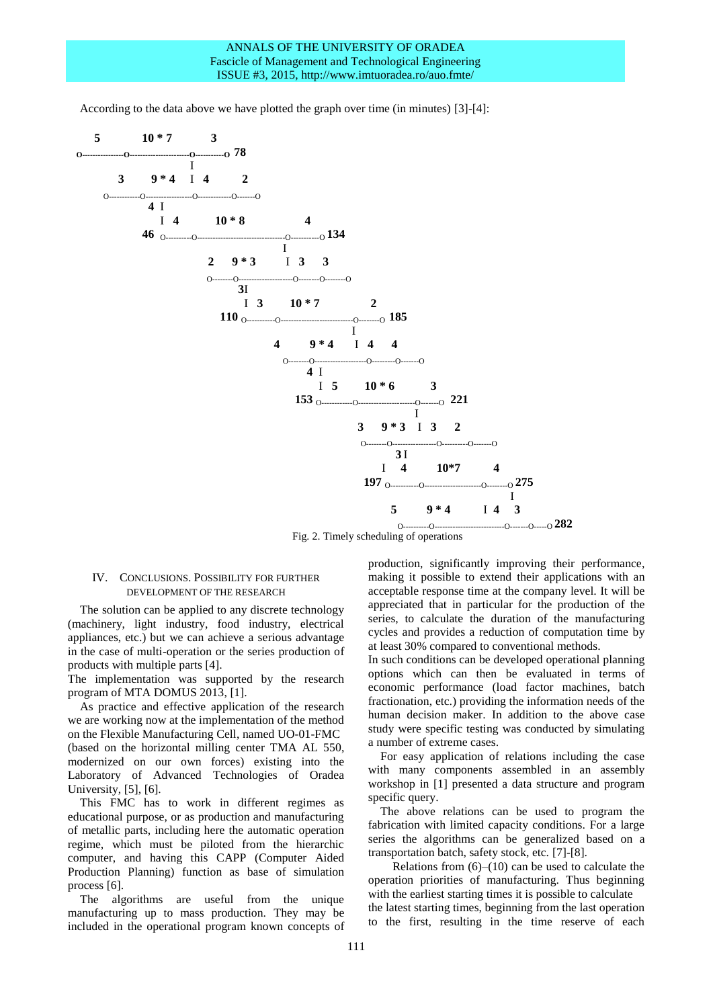According to the data above we have plotted the graph over time (in minutes) [3]-[4]:



 O----------O---------------------------O-------O-----O **282** Fig. 2. Timely scheduling of operations

## IV. CONCLUSIONS. POSSIBILITY FOR FURTHER DEVELOPMENT OF THE RESEARCH

The solution can be applied to any discrete technology (machinery, light industry, food industry, electrical appliances, etc.) but we can achieve a serious advantage in the case of multi-operation or the series production of products with multiple parts [4].

The implementation was supported by the research program of MTA DOMUS 2013, [1].

As practice and effective application of the research we are working now at the implementation of the method on the Flexible Manufacturing Cell, named UO-01-FMC (based on the horizontal milling center TMA AL 550, modernized on our own forces) existing into the Laboratory of Advanced Technologies of Oradea University, [5], [6].

This FMC has to work in different regimes as educational purpose, or as production and manufacturing of metallic parts, including here the automatic operation regime, which must be piloted from the hierarchic computer, and having this CAPP (Computer Aided Production Planning) function as base of simulation process [6].

The algorithms are useful from the unique manufacturing up to mass production. They may be included in the operational program known concepts of production, significantly improving their performance, making it possible to extend their applications with an acceptable response time at the company level. It will be appreciated that in particular for the production of the series, to calculate the duration of the manufacturing cycles and provides a reduction of computation time by at least 30% compared to conventional methods.

In such conditions can be developed operational planning options which can then be evaluated in terms of economic performance (load factor machines, batch fractionation, etc.) providing the information needs of the human decision maker. In addition to the above case study were specific testing was conducted by simulating a number of extreme cases.

For easy application of relations including the case with many components assembled in an assembly workshop in [1] presented a data structure and program specific query.

The above relations can be used to program the fabrication with limited capacity conditions. For a large series the algorithms can be generalized based on a transportation batch, safety stock, etc. [7]-[8].

Relations from  $(6)$ – $(10)$  can be used to calculate the operation priorities of manufacturing. Thus beginning with the earliest starting times it is possible to calculate the latest starting times, beginning from the last operation to the first, resulting in the time reserve of each